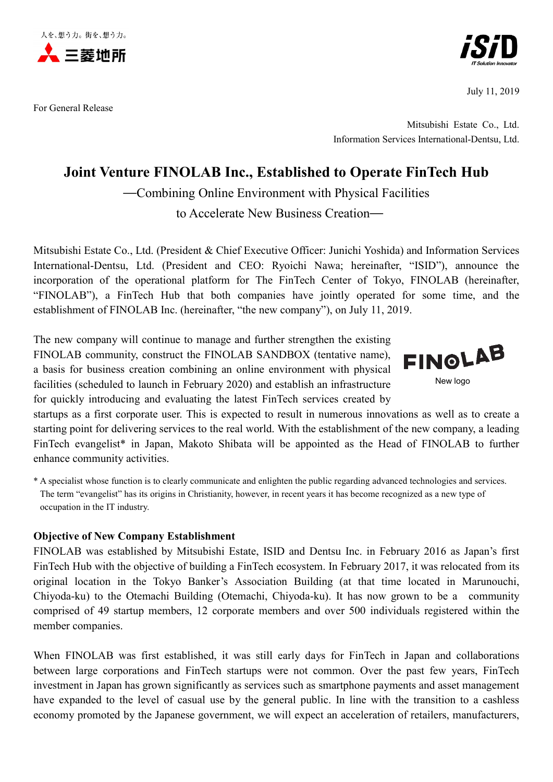

For General Release



July 11, 2019

Mitsubishi Estate Co., Ltd. Information Services International-Dentsu, Ltd.

# **Joint Venture FINOLAB Inc., Established to Operate FinTech Hub**

—Combining Online Environment with Physical Facilities

to Accelerate New Business Creation—

Mitsubishi Estate Co., Ltd. (President & Chief Executive Officer: Junichi Yoshida) and Information Services International-Dentsu, Ltd. (President and CEO: Ryoichi Nawa; hereinafter, "ISID"), announce the incorporation of the operational platform for The FinTech Center of Tokyo, FINOLAB (hereinafter, "FINOLAB"), a FinTech Hub that both companies have jointly operated for some time, and the establishment of FINOLAB Inc. (hereinafter, "the new company"), on July 11, 2019.

The new company will continue to manage and further strengthen the existing FINOLAB community, construct the FINOLAB SANDBOX (tentative name), a basis for business creation combining an online environment with physical facilities (scheduled to launch in February 2020) and establish an infrastructure for quickly introducing and evaluating the latest FinTech services created by



startups as a first corporate user. This is expected to result in numerous innovations as well as to create a starting point for delivering services to the real world. With the establishment of the new company, a leading FinTech evangelist\* in Japan, Makoto Shibata will be appointed as the Head of FINOLAB to further enhance community activities.

\* A specialist whose function is to clearly communicate and enlighten the public regarding advanced technologies and services. The term "evangelist" has its origins in Christianity, however, in recent years it has become recognized as a new type of occupation in the IT industry.

# **Objective of New Company Establishment**

FINOLAB was established by Mitsubishi Estate, ISID and Dentsu Inc. in February 2016 as Japan's first FinTech Hub with the objective of building a FinTech ecosystem. In February 2017, it was relocated from its original location in the Tokyo Banker's Association Building (at that time located in Marunouchi, Chiyoda-ku) to the Otemachi Building (Otemachi, Chiyoda-ku). It has now grown to be a community comprised of 49 startup members, 12 corporate members and over 500 individuals registered within the member companies.

When FINOLAB was first established, it was still early days for FinTech in Japan and collaborations between large corporations and FinTech startups were not common. Over the past few years, FinTech investment in Japan has grown significantly as services such as smartphone payments and asset management have expanded to the level of casual use by the general public. In line with the transition to a cashless economy promoted by the Japanese government, we will expect an acceleration of retailers, manufacturers,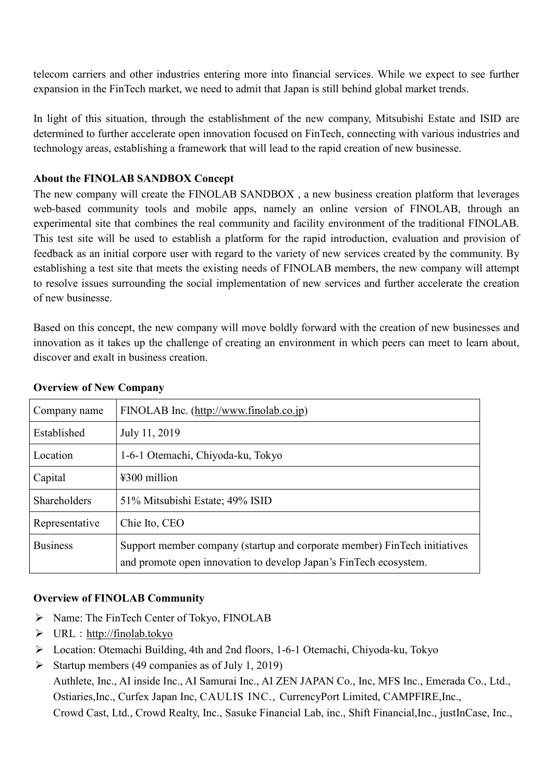telecom carriers and other industries entering more into financial services. While we expect to see further expansion in the FinTech market, we need to admit that Japan is still behind global market trends.

In light of this situation, through the establishment of the new company, Mitsubishi Estate and ISID are determined to further accelerate open innovation focused on FinTech, connecting with various industries and technology areas, establishing a framework that will lead to the rapid creation of new businesse.

#### **About the FINOLAB SANDBOX Concept**

The new company will create the FINOLAB SANDBOX , a new business creation platform that leverages web-based community tools and mobile apps, namely an online version of FINOLAB, through an experimental site that combines the real community and facility environment of the traditional FINOLAB. This test site will be used to establish a platform for the rapid introduction, evaluation and provision of feedback as an initial corpore user with regard to the variety of new services created by the community. By establishing a test site that meets the existing needs of FINOLAB members, the new company will attempt to resolve issues surrounding the social implementation of new services and further accelerate the creation of new businesse.

Based on this concept, the new company will move boldly forward with the creation of new businesses and innovation as it takes up the challenge of creating an environment in which peers can meet to learn about, discover and exalt in business creation.

| Company name    | FINOLAB Inc. (http://www.finolab.co.jp)                                                                                                        |
|-----------------|------------------------------------------------------------------------------------------------------------------------------------------------|
| Established     | July 11, 2019                                                                                                                                  |
| Location        | 1-6-1 Otemachi, Chiyoda-ku, Tokyo                                                                                                              |
| Capital         | $\text{\#}300$ million                                                                                                                         |
| Shareholders    | 51% Mitsubishi Estate; 49% ISID                                                                                                                |
| Representative  | Chie Ito, CEO                                                                                                                                  |
| <b>Business</b> | Support member company (startup and corporate member) FinTech initiatives<br>and promote open innovation to develop Japan's FinTech ecosystem. |

### **Overview of New Company**

# **Overview of FINOLAB Community**

- $\triangleright$  Name: The FinTech Center of Tokyo, FINOLAB
- $\triangleright$  URL: [http://finolab.tokyo](http://finolab.tokyo/)
- Location: Otemachi Building, 4th and 2nd floors, 1-6-1 Otemachi, Chiyoda-ku, Tokyo
- Startup members (49 companies as of July 1, 2019)

Authlete, Inc., AI inside Inc., AI Samurai Inc., AI ZEN JAPAN Co., Inc, MFS Inc., Emerada Co., Ltd., Ostiaries,Inc., Curfex Japan Inc, CAULIS INC., CurrencyPort Limited, CAMPFIRE,Inc., Crowd Cast, Ltd., Crowd Realty, Inc., Sasuke Financial Lab, inc., Shift Financial,Inc., justInCase, Inc.,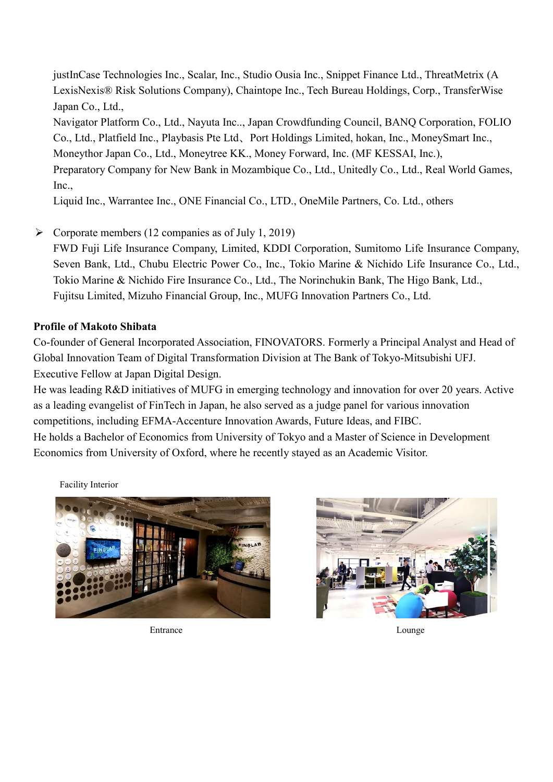justInCase Technologies Inc., Scalar, Inc., Studio Ousia Inc., Snippet Finance Ltd., ThreatMetrix (A LexisNexis® Risk Solutions Company), Chaintope Inc., Tech Bureau Holdings, Corp., TransferWise Japan Co., Ltd.,

Navigator Platform Co., Ltd., Nayuta Inc.., Japan Crowdfunding Council, BANQ Corporation, FOLIO Co., Ltd., Platfield Inc., Playbasis Pte Ltd、Port Holdings Limited, hokan, Inc., MoneySmart Inc., Moneythor Japan Co., Ltd., Moneytree KK., Money Forward, Inc. (MF KESSAI, Inc.), Preparatory Company for New Bank in Mozambique Co., Ltd., Unitedly Co., Ltd., Real World Games, Inc.,

Liquid Inc., Warrantee Inc., ONE Financial Co., LTD., OneMile Partners, Co. Ltd., others

 $\triangleright$  Corporate members (12 companies as of July 1, 2019)

FWD Fuji Life Insurance Company, Limited, KDDI Corporation, Sumitomo Life Insurance Company, Seven Bank, Ltd., Chubu Electric Power Co., Inc., [Tokio Marine & Nichido Life Insurance Co., Ltd.,](http://www.tmn-anshin.co.jp/) [Tokio Marine & Nichido Fire Insurance Co., Ltd.,](http://www.tokiomarine-nichido.co.jp/en/) The Norinchukin Bank, The Higo Bank, Ltd., Fujitsu Limited, Mizuho Financial Group, Inc., MUFG Innovation Partners Co., Ltd.

### **Profile of Makoto Shibata**

Co-founder of General Incorporated Association, FINOVATORS. Formerly a Principal Analyst and Head of Global Innovation Team of Digital Transformation Division at The Bank of Tokyo-Mitsubishi UFJ. Executive Fellow at Japan Digital Design.

He was leading R&D initiatives of MUFG in emerging technology and innovation for over 20 years. Active as a leading evangelist of FinTech in Japan, he also served as a judge panel for various innovation competitions, including EFMA-Accenture Innovation Awards, Future Ideas, and FIBC.

He holds a Bachelor of Economics from University of Tokyo and a Master of Science in Development Economics from University of Oxford, where he recently stayed as an Academic Visitor.

Facility Interior



Entrance Lounge Lounge